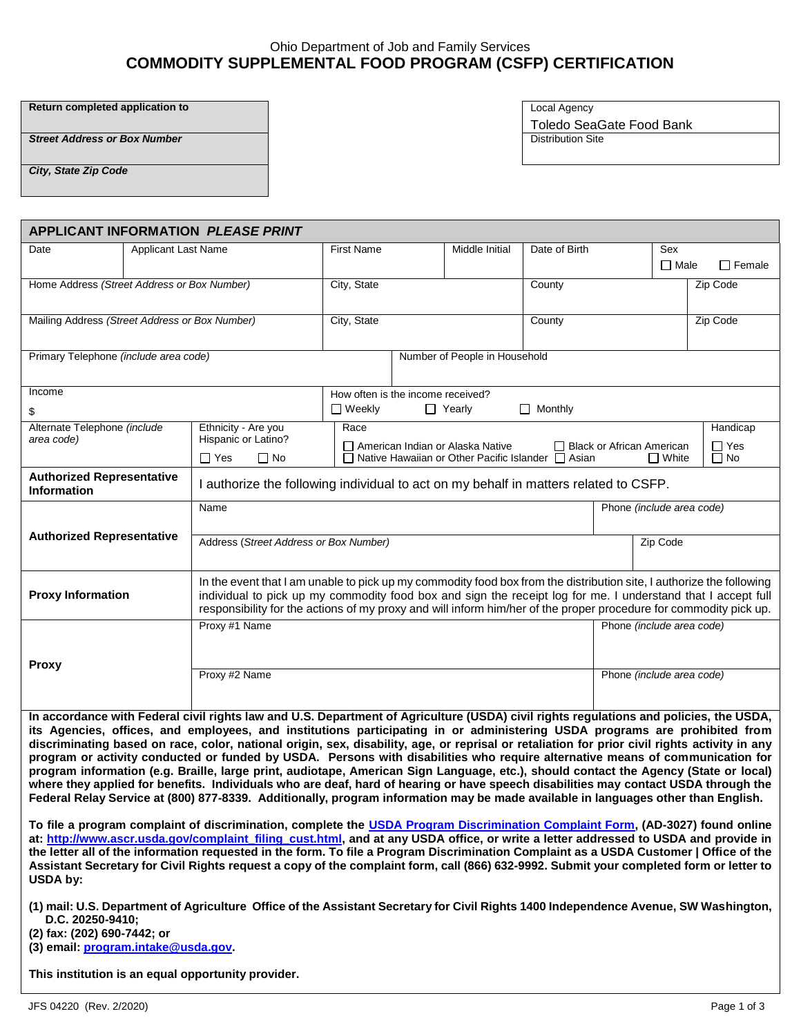## Ohio Department of Job and Family Services **COMMODITY SUPPLEMENTAL FOOD PROGRAM (CSFP) CERTIFICATION**

**Return completed application to** Local Agency

**Street Address or Box Number Distribution Site** 

Toledo SeaGate Food Bank

*City, State Zip Code*

| <b>APPLICANT INFORMATION PLEASE PRINT</b>                                                                                                                                                                                                                                      |                            |                                                                                                                                                                                                                                   |                                                                                                   |  |                               |                |                             |                           |               |  |  |
|--------------------------------------------------------------------------------------------------------------------------------------------------------------------------------------------------------------------------------------------------------------------------------|----------------------------|-----------------------------------------------------------------------------------------------------------------------------------------------------------------------------------------------------------------------------------|---------------------------------------------------------------------------------------------------|--|-------------------------------|----------------|-----------------------------|---------------------------|---------------|--|--|
| Date                                                                                                                                                                                                                                                                           | <b>Applicant Last Name</b> |                                                                                                                                                                                                                                   | <b>First Name</b>                                                                                 |  | Middle Initial                | Date of Birth  |                             | Sex                       |               |  |  |
|                                                                                                                                                                                                                                                                                |                            |                                                                                                                                                                                                                                   |                                                                                                   |  |                               |                |                             | $\Box$ Male               | $\Box$ Female |  |  |
| Home Address (Street Address or Box Number)                                                                                                                                                                                                                                    |                            |                                                                                                                                                                                                                                   | City, State                                                                                       |  | County                        |                |                             | Zip Code                  |               |  |  |
|                                                                                                                                                                                                                                                                                |                            |                                                                                                                                                                                                                                   |                                                                                                   |  |                               |                |                             |                           |               |  |  |
| Mailing Address (Street Address or Box Number)                                                                                                                                                                                                                                 |                            |                                                                                                                                                                                                                                   | City, State                                                                                       |  |                               | County         |                             |                           | Zip Code      |  |  |
|                                                                                                                                                                                                                                                                                |                            |                                                                                                                                                                                                                                   |                                                                                                   |  |                               |                |                             |                           |               |  |  |
| Primary Telephone (include area code)                                                                                                                                                                                                                                          |                            |                                                                                                                                                                                                                                   |                                                                                                   |  | Number of People in Household |                |                             |                           |               |  |  |
|                                                                                                                                                                                                                                                                                |                            |                                                                                                                                                                                                                                   |                                                                                                   |  |                               |                |                             |                           |               |  |  |
| Income                                                                                                                                                                                                                                                                         |                            |                                                                                                                                                                                                                                   | How often is the income received?                                                                 |  |                               |                |                             |                           |               |  |  |
| \$                                                                                                                                                                                                                                                                             |                            |                                                                                                                                                                                                                                   | $\Box$ Weekly                                                                                     |  | $\Box$ Yearly                 | $\Box$ Monthly |                             |                           |               |  |  |
| Alternate Telephone (include<br>area code)                                                                                                                                                                                                                                     |                            | Ethnicity - Are you                                                                                                                                                                                                               | Race                                                                                              |  |                               |                |                             |                           | Handicap      |  |  |
|                                                                                                                                                                                                                                                                                |                            | Hispanic or Latino?                                                                                                                                                                                                               | American Indian or Alaska Native<br>$\Box$ Native Hawaiian or Other Pacific Islander $\Box$ Asian |  |                               |                | □ Black or African American |                           | $\Box$ Yes    |  |  |
|                                                                                                                                                                                                                                                                                |                            | $\Box$ No<br>$\Box$ Yes                                                                                                                                                                                                           |                                                                                                   |  |                               |                |                             | $\Box$ White              | $\Box$ No     |  |  |
| <b>Authorized Representative</b><br><b>Information</b>                                                                                                                                                                                                                         |                            |                                                                                                                                                                                                                                   | I authorize the following individual to act on my behalf in matters related to CSFP.              |  |                               |                |                             |                           |               |  |  |
|                                                                                                                                                                                                                                                                                |                            | Name                                                                                                                                                                                                                              |                                                                                                   |  |                               |                |                             | Phone (include area code) |               |  |  |
| <b>Authorized Representative</b>                                                                                                                                                                                                                                               |                            |                                                                                                                                                                                                                                   |                                                                                                   |  |                               |                |                             |                           |               |  |  |
|                                                                                                                                                                                                                                                                                |                            | Address (Street Address or Box Number)                                                                                                                                                                                            |                                                                                                   |  |                               |                |                             | Zip Code                  |               |  |  |
|                                                                                                                                                                                                                                                                                |                            |                                                                                                                                                                                                                                   |                                                                                                   |  |                               |                |                             |                           |               |  |  |
| <b>Proxy Information</b>                                                                                                                                                                                                                                                       |                            | In the event that I am unable to pick up my commodity food box from the distribution site, I authorize the following                                                                                                              |                                                                                                   |  |                               |                |                             |                           |               |  |  |
|                                                                                                                                                                                                                                                                                |                            | individual to pick up my commodity food box and sign the receipt log for me. I understand that I accept full<br>responsibility for the actions of my proxy and will inform him/her of the proper procedure for commodity pick up. |                                                                                                   |  |                               |                |                             |                           |               |  |  |
|                                                                                                                                                                                                                                                                                |                            | Proxy #1 Name                                                                                                                                                                                                                     |                                                                                                   |  |                               |                |                             | Phone (include area code) |               |  |  |
|                                                                                                                                                                                                                                                                                |                            |                                                                                                                                                                                                                                   |                                                                                                   |  |                               |                |                             |                           |               |  |  |
|                                                                                                                                                                                                                                                                                |                            |                                                                                                                                                                                                                                   |                                                                                                   |  |                               |                |                             |                           |               |  |  |
| <b>Proxy</b>                                                                                                                                                                                                                                                                   |                            | Proxy #2 Name                                                                                                                                                                                                                     |                                                                                                   |  |                               |                |                             | Phone (include area code) |               |  |  |
|                                                                                                                                                                                                                                                                                |                            |                                                                                                                                                                                                                                   |                                                                                                   |  |                               |                |                             |                           |               |  |  |
|                                                                                                                                                                                                                                                                                |                            |                                                                                                                                                                                                                                   |                                                                                                   |  |                               |                |                             |                           |               |  |  |
| In accordance with Federal civil rights law and U.S. Department of Agriculture (USDA) civil rights regulations and policies, the USDA,<br>its Agencies, offices, and employees, and institutions participating in or administering USDA programs are prohibited from           |                            |                                                                                                                                                                                                                                   |                                                                                                   |  |                               |                |                             |                           |               |  |  |
| discriminating based on race, color, national origin, sex, disability, age, or reprisal or retaliation for prior civil rights activity in any<br>program or activity conducted or funded by USDA. Persons with disabilities who require alternative means of communication for |                            |                                                                                                                                                                                                                                   |                                                                                                   |  |                               |                |                             |                           |               |  |  |
| program information (e.g. Braille, large print, audiotape, American Sign Language, etc.), should contact the Agency (State or local)                                                                                                                                           |                            |                                                                                                                                                                                                                                   |                                                                                                   |  |                               |                |                             |                           |               |  |  |
|                                                                                                                                                                                                                                                                                |                            | where they applied for benefits. Individuals who are deaf, hard of hearing or have speech disabilities may contact USDA through the                                                                                               |                                                                                                   |  |                               |                |                             |                           |               |  |  |
|                                                                                                                                                                                                                                                                                |                            | Federal Relay Service at (800) 877-8339. Additionally, program information may be made available in languages other than English.                                                                                                 |                                                                                                   |  |                               |                |                             |                           |               |  |  |

**To file a program complaint of discrimination, complete the [USDA Program Discrimination Complaint Form,](http://www.ocio.usda.gov/sites/default/files/docs/2012/Complain_combined_6_8_12.pdf) (AD-3027) found online at: [http://www.ascr.usda.gov/complaint\\_filing\\_cust.html,](http://www.ascr.usda.gov/complaint_filing_cust.html) and at any USDA office, or write a letter addressed to USDA and provide in the letter all of the information requested in the form. To file a Program Discrimination Complaint as a USDA Customer | Office of the Assistant Secretary for Civil Rights request a copy of the complaint form, call (866) 632-9992. Submit your completed form or letter to USDA by:** 

**(1) mail: U.S. Department of Agriculture Office of the Assistant Secretary for Civil Rights 1400 Independence Avenue, SW Washington, D.C. 20250-9410;**

**(2) fax: (202) 690-7442; or** 

**(3) email: [program.intake@usda.gov.](file:///C:/Users/SURGEJ01/AppData/Local/Microsoft/Windows/Temporary%20Internet%20Files/Content.IE5/AppData/Local/Microsoft/Windows/Temporary%20Internet%20Files/Content.IE5/8ENPO1XB/program.intake@usda.gov)**

**This institution is an equal opportunity provider.**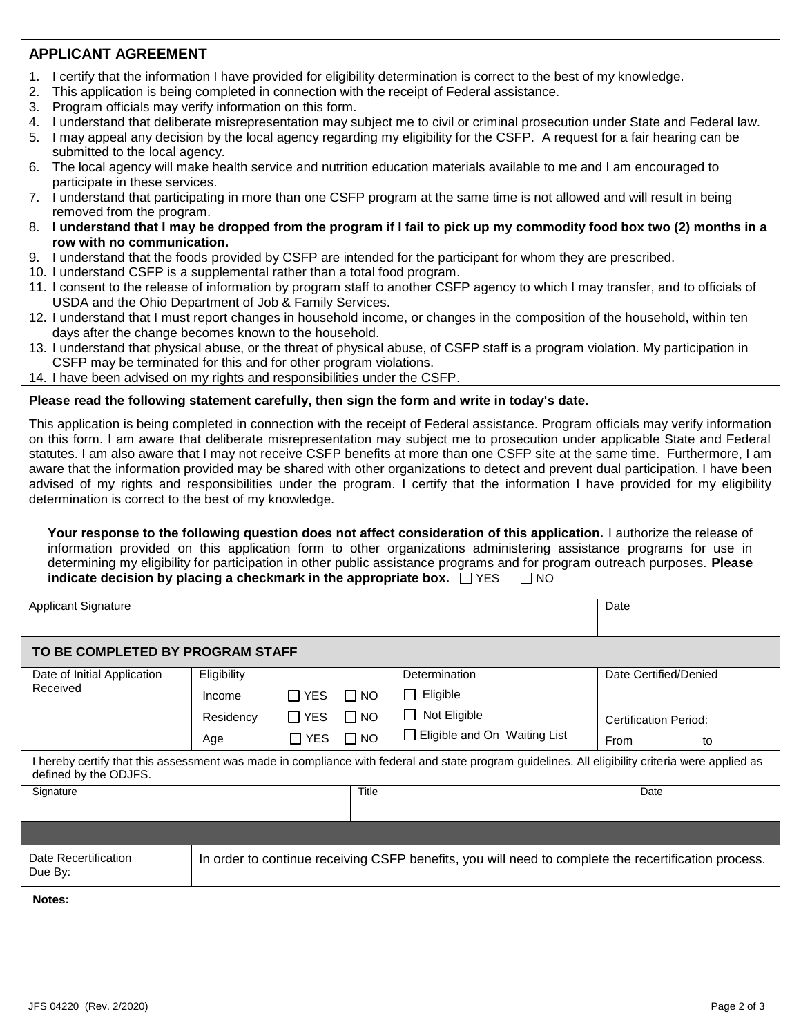# **APPLICANT AGREEMENT**

- 1. I certify that the information I have provided for eligibility determination is correct to the best of my knowledge.
- 2. This application is being completed in connection with the receipt of Federal assistance.
- 3. Program officials may verify information on this form.
- 4. I understand that deliberate misrepresentation may subject me to civil or criminal prosecution under State and Federal law.
- 5. I may appeal any decision by the local agency regarding my eligibility for the CSFP. A request for a fair hearing can be submitted to the local agency.
- 6. The local agency will make health service and nutrition education materials available to me and I am encouraged to participate in these services.
- 7. I understand that participating in more than one CSFP program at the same time is not allowed and will result in being removed from the program.
- 8. **I understand that I may be dropped from the program if I fail to pick up my commodity food box two (2) months in a row with no communication.**
- 9. I understand that the foods provided by CSFP are intended for the participant for whom they are prescribed.
- 10. I understand CSFP is a supplemental rather than a total food program.
- 11. I consent to the release of information by program staff to another CSFP agency to which I may transfer, and to officials of USDA and the Ohio Department of Job & Family Services.
- 12. I understand that I must report changes in household income, or changes in the composition of the household, within ten days after the change becomes known to the household.
- 13. I understand that physical abuse, or the threat of physical abuse, of CSFP staff is a program violation. My participation in CSFP may be terminated for this and for other program violations.
- 14. I have been advised on my rights and responsibilities under the CSFP.

#### **Please read the following statement carefully, then sign the form and write in today's date.**

This application is being completed in connection with the receipt of Federal assistance. Program officials may verify information on this form. I am aware that deliberate misrepresentation may subject me to prosecution under applicable State and Federal statutes. I am also aware that I may not receive CSFP benefits at more than one CSFP site at the same time. Furthermore, I am aware that the information provided may be shared with other organizations to detect and prevent dual participation. I have been advised of my rights and responsibilities under the program. I certify that the information I have provided for my eligibility determination is correct to the best of my knowledge.

**Your response to the following question does not affect consideration of this application.** I authorize the release of information provided on this application form to other organizations administering assistance programs for use in determining my eligibility for participation in other public assistance programs and for program outreach purposes. **Please indicate decision by placing a checkmark in the appropriate box.**  $\Box$  YES  $\Box$  NO

Applicant Signature Date Date of the Date of the United States of the Date of the Date of the Date of the Date

### **TO BE COMPLETED BY PROGRAM STAFF**

| Date of Initial Application                                                                                                                                               | Eligibility |            |           | <b>Determination</b>           | Date Certified/Denied |      |  |  |  |  |
|---------------------------------------------------------------------------------------------------------------------------------------------------------------------------|-------------|------------|-----------|--------------------------------|-----------------------|------|--|--|--|--|
| Received                                                                                                                                                                  | Income      | $\Box$ YES | $\Box$ NO | Eligible<br>$\mathsf{L}$       |                       |      |  |  |  |  |
|                                                                                                                                                                           | Residency   | $\Box$ YES | $\Box$ No | Not Eligible<br>$\Box$         | Certification Period: |      |  |  |  |  |
|                                                                                                                                                                           | Age         | $\Box$ YES | $\Box$ NO | □ Eligible and On Waiting List | From<br>to            |      |  |  |  |  |
| I hereby certify that this assessment was made in compliance with federal and state program guidelines. All eligibility criteria were applied as<br>defined by the ODJFS. |             |            |           |                                |                       |      |  |  |  |  |
| Signature                                                                                                                                                                 |             |            | Title     |                                |                       | Date |  |  |  |  |
|                                                                                                                                                                           |             |            |           |                                |                       |      |  |  |  |  |
| Date Recertification<br>In order to continue receiving CSFP benefits, you will need to complete the recertification process.<br>Due By:                                   |             |            |           |                                |                       |      |  |  |  |  |
| Notes:                                                                                                                                                                    |             |            |           |                                |                       |      |  |  |  |  |
|                                                                                                                                                                           |             |            |           |                                |                       |      |  |  |  |  |
|                                                                                                                                                                           |             |            |           |                                |                       |      |  |  |  |  |
|                                                                                                                                                                           |             |            |           |                                |                       |      |  |  |  |  |